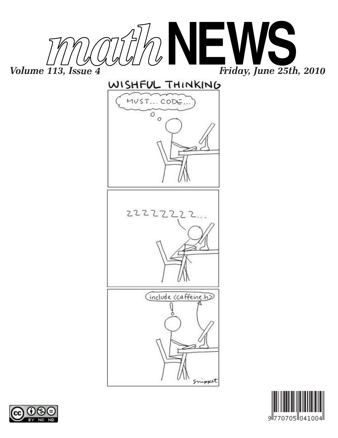











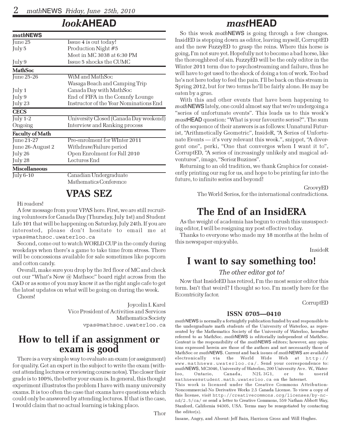## look**AHEAD**

| <i>math</i> NEWS       |                                        |
|------------------------|----------------------------------------|
| June 25                | Issue 4 is out today!                  |
| July 5                 | Production Night #5                    |
|                        | Meet in MC 3038 at 6:30 PM             |
| July 9                 | Issue 5 shocks the CUMC                |
| <b>MathSoc</b>         |                                        |
| June 25-26             | WiM and MathSoc                        |
|                        | Wasaga Beach and Camping Trip          |
| July 1                 | Canada Day with MathSoc                |
| July 9                 | End of FIFA in the Comnfy Lounge       |
| July 23                | Instructor of the Year Nominations End |
| <b>CECS</b>            |                                        |
| July $1-2$             | University Closed (Canada Day weekend) |
| Ongoing                | Interview and Ranking process          |
| <b>Faculty of Math</b> |                                        |
| June 21-27             | Pre-enrolment for WInter 2011          |
| June 26-August 2       | Withdraw/Failure period                |
| July 26                | Open Enrolment for Fall 2010           |
| July 28                | Lectures End                           |
| <b>Miscellaneous</b>   |                                        |
| July 6-10              | Canadian Undergraduate                 |
|                        | Mathematics Conference                 |

## VPAS SEZ

#### Hi readers!

A few message from your VPAS here. First, we are still recruiting volunteers for Canada Day (Thursday, July 1st) and Student Life 101 that will be happening on Saturday, July 24th. If you are interested, please don't hesitate to email me at vpas@mathsoc.uwaterloo.ca

Second, come out to watch WORLD CUP in the comfy during weekdays when there's a game to take time from stress. There will be concessions available for sale sometimes like popcorn and cotton candy.

Overall, make sure you drop by the 3rd floor of MC and check out our "What's New @ Mathsoc" board right across from the C&D or as some of you may know it as the right angle cafe to get the latest updates on what will be going on during the week.

Cheers!

Joycelin I. Karel Vice President of Activities and Services Mathematics Society vpas@mathsoc.uwaterloo.ca

### How to tell if an assignment or exam is good

There is a very simple way to evaluate an exam (or assignment) for quality. Get an expert in the subject to write the exam (without attending lectures or reviewing course notes). The closer their grade is to 100%, the better your exam is. In general, this thought experiment illustrates the problem I have with many university exams. It is too often the case that exams have questions which could only be answered by attending lectures. If that is the case, I would claim that no actual learning is taking place.

Thor

## mast**HEAD**

So this week mathNEWS is going through a few changes. InsidED is stepping down as editor, leaving myself, CorruptED and the new FuzzyED to grasp the reins. Where this horse is going, I'm not sure yet. Hopefully not to become a bad horse, like the thoroughbred of sin. FuzzyED will be the only editor in the Winter 2011 term due to psychostreaming and failure, thus he will have to get used to the shock of doing a ton of work. Too bad he's not here today to feel the pain. I'll be back on this stream in Spring 2012, but for two terms he'll be fairly alone. He may be eaten by a grue.

With this and other events that have been happening to mathNEWS lately, one could almost say that we're undergoing a "series of unfortunate events". This leads us to this week's mastHEAD question: "What is your favourite series?". The sum of the sequence of their answers is as follows: Unnatural Futurist, "Arithmetically Geometric", InsideR, "A Series of Unfortunate Events — it's very relevant this week.", snippet, "A divergent one", perki, "One that converges when I want it to", CorruptED, "A series of increasingly unlikely and magical adventures", image, "Seriez Buzines".

Returning to an old tradition, we thank Graphics for consistently printing our rag for us, and hope to be printing far into the future, to infinite series and beyond!

GroovyED

The World Series, for the international contradictions.

## The End of an InsidERA

As the weight of academia has begun to crush this unsuspecting editor, I will be resigning my post effective today.

Thanks to everyone who made my 18 months at the helm of this newspaper enjoyable.

InsideR

### I want to say something too!

### The other editor got to!

Now that InsideED has retired, I'm the most senior editor this term. Isn't that weird? I thought so too. I'm mostly here for the Eccentricity factor.

CorruptED

### ISSN 0705—0410

math NEWS is normally a fortnightly publication funded by and responsible to the undergraduate math students of the University of Waterloo, as represented by the Mathematics Society of the University of Waterloo, hereafter referred to as MathSoc. mathNEWS is editorially independent of MathSoc. Content is the responsibility of the *math* NEWS editors; however, any opinions expressed herein are those of the authors and not necessarily those of MathSoc or mathNEWS. Current and back issues of mathNEWS are available electronically via the World Wide Web at http:// www.mathnews.uwaterloo.ca/. Send your correspondence to: math NEWS, MC3046, University of Waterloo, 200 University Ave. W., Waterloo, Ontario, Canada, N2L 3G1, or to userid N2L 3G1, or to userid mathnews@student.math.uwaterloo.ca on the Internet.

This work is licensed under the Creative Commons Attribution-Noncommercial-No Derivative Works 2.5 Canada License. To view a copy of this license, visit http://creativecommons.org/licenses/by-ncnd/2.5/ca/ or send a letter to Creative Commons, 559 Nathan Abbott Way, Stanford, California 94305, USA. Terms may be renegotiated by contacting the editor(s).

Insane, Angry, and Absent: Jeff Bain, Harrison Gross and Will Hughes.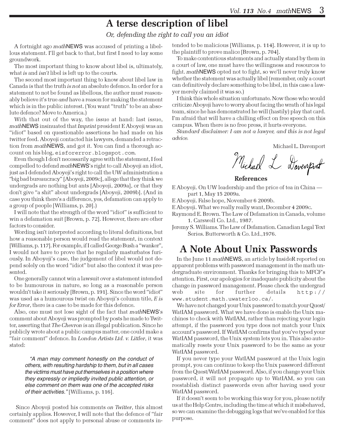# A terse description of libel

Or, defending the right to call you an idiot

A fortnight ago mathNEWS was accused of printing a libellous statement. I'll get back to that, but first I need to lay some groundwork.

The most important thing to know about libel is, ultimately, what *is* and *isn't* libel is left up to the courts.

The second most important thing to know about libel law in Canada is that the truth is not an absolute defence. In order for a statement to not be found as libellous, the author must reasonably believe it's true and have a reason for making the statement which is in the public interest. (You want "truth" to be an absolute defence? Move to America.)

With that out of the way, the issue at hand: last issue, mathNEWS insinuated that Imprint president E Aboyeji was an "idiot" based on questionable assertions he had made on his twitter feed. Aboyeji contacted his lawyers, demanded a retraction from mathNEWS, and got it. You can find a thorough account on his blog, eisforerror.blogspot.com.

Even though I don't necessarily agree with the statement, I feel compelled to defend mathNEWS's right to call Aboyeji an idiot, just as I defended Aboyeji's right to call the UW administration a "big bad bureaucracy" [Aboyeji, 2009c], allege that they think we undergrads are nothing but ants [Aboyeji, 2009a], or that they don't give "a shit" about undergrads [Aboyeji, 2009b]. (And in case you think there's a difference, yes, defamation can apply to a group of people [Williams, p. 20].)

I will note that the strength of the word "idiot" is sufficient to win a defamation suit [Brown, p. 72]. However, there are other factors to consider.

Wording isn't interpreted according to literal definitions, but how a reasonable person would read the statement, in context [Williams, p. 117]. For example, if I called George Bush a "wanker", I would not have to prove that he regularly masturbates furiously. In Aboyeji's case, the judgement of libel would not depend solely on the word "idiot" but also the context it was presented.

One generally cannot win a lawsuit over a statement intended to be humourous in nature, so long as a reasonable person wouldn't take it seriously [Brown, p. 191]. Since the word "idiot" was used as a humourous twist on Aboyeji's column title, E is for Error, there is a case to be made for this defence.

Also, one must not lose sight of the fact that mathNEWS's comment about Aboyeji was prompted by posts he made to Twitter, asserting that The Chevron is an illegal publication. Since he publicly wrote about a public campus matter, one could make a "fair comment" defence. In London Artists Ltd. v. Littler, it was stated:

"A man may comment honestly on the conduct of others, with resulting hardship to them, but in all cases the victims must have put themselves in a position where they expressly or impliedly invited public attention, or else comment on them was one of the accepted risks of their activities." [Williams, p. 116].

Since Aboyeji posted his comments on Twitter, this almost certainly applies. However, I will note that the defence of "fair comment" does not apply to personal abuse or comments intended to be malicious [Williams, p. 114]. However, it is up to the plaintiff to prove malice [Brown, p. 704].

To make contentious statements and actually stand by them in a court of law, one must have the willingness and resources to fight. *math* NEWS opted not to fight, so we'll never truly know whether the statement was actually libel (remember, only a court can definitively declare something to be libel, in this case a lawyer merely claimed it was so.)

I think this whole situation unfortunate. Now those who would criticize Aboyeji have to worry about facing the wrath of his legal team, since he has demonstrated he will (hastily) play that card. I'm afraid that will have a chilling effect on free speech on this campus. When there is no free press, it hurts everyone.

Standard disclaimer: I am not a lawyer, and this is not legal advice.

Michael L. Davenport

Michael L. Davenport

#### References

E Aboyeji. On UW leadership and the price of tea in China part 1, May 15 2009a.

E Aboyeji. False hope, November 6 2009b.

E Aboyeji. What we really really want, December 4 2009c.

Raymond E. Brown. The Law of Defamation in Canada, volume 1. Carswell Co. Ltd., 1987.

Jeremy S. Williams. The Law of Defamation. Canadian Legal Text Series. Butterworth & Co. Ltd.,1976.

### A Note About Unix Passwords

In the June 11 mathNEWS, an article by InsideR reported on apparent problems with password management in the math undergraduate environment. Thanks for bringing this to MFCF's attention. First, our apologies for inadequate publicity about the change in password management. Please check the undergrad web site for further details http:// www.student.math.uwaterloo.ca/.

We have not changed your Unix password to match your Quest/ WatIAM password. What we have done is enable the Unix machines to check with WatIAM, rather than rejecting your login attempt, if the password you type does not match your Unix account's password. If WatIAM confirms that you've typed your WatIAM password, the Unix system lets you in. This also automatically resets your Unix password to be the same as your WatIAM password.

If you never type your WatIAM password at the Unix login prompt, you can continue to keep the Unix password different from the Quest/WatIAM password. Also, if you change your Unix password, it will not propagate up to WatIAM, so you can reestablish distinct passwords even after having used your WatIAM password.

If it doesn't seem to be working this way for you, please notify us at the Help Centre, including the time at which it misbehaved, so we can examine the debugging logs that we've enabled for this purpose.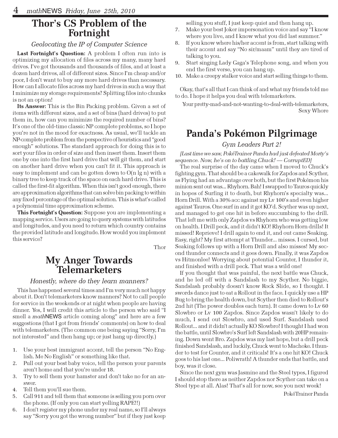### Thor's CS Problem of the Fortnight

### Geolocating the IP of Computer Science

Last Fortnight's Question: A problem I often run into is optimizing my allocation of files across my many, many hard drives. I've got thousands and thousands of files, and at least a dozen hard drives, all of different sizes. Since I'm cheap and/or poor, I don't want to buy any more hard drives than necessary. How can I allocate files across my hard drives in such a way that I minimize my storage requirements? Splitting files into chunks is not an option!

Its Answer: This is the Bin Packing problem. Given a set of items with different sizes, and a set of bins (hard drives) to put them in, how can you minimize the required number of bins? It's one of the old-time classic NP complete problems, so I hope you're not in the mood for exactness. As usual, we'll tackle an NP-complete problem from the perspective of heuristics and "good enough" solutions. The standard approach for doing this is to sort your files in order of size and then insert them. Insert them one by one into the first hard drive that will git them, and start on another hard drive when you can't fit it. This approach is easy to implement and can be gotten down to O(n lg n) with a binary tree to keep track of the space on each hard drive. This is called the first-fit algorithm. When this isn't good enough, there are approximation algorithms that can solve bin packing to within any fixed percentage of the optimal solution. This is what's called a polynomial time approximation scheme.

This Fortnight's Question: Suppose you are implementing a mapping service. Users are going to query systems with latitudes and longitudes, and you need to return which country contains the provided latitude and longitude. How would you implement this service?

Thor

### My Anger Towards Telemarketers

### Honestly, where do they learn manners?

This has happened several times and I'm very much not happy about it. Don't telemarketers know manners? Not to call people for service in the weekends or at night when people are having dinner. Yes, I will credit this article to the person who said "I smell a *math*NEWS article coming along" and here are a few suggestions (that I got from friends' comments) on how to deal with telemarketers. (The common one being saying "Sorry, I'm not interested" and then hang up; or just hang up directly.)

- 1. Use your best immigrant accent, tell the person "No English. Me No English" or something like that.
- Pull out your best baby voice, tell the person your parents aren't home and that you're under 18.
- 3. Try to sell them your hamster and don't take no for an answer.
- 4. Tell them you'll sue them.
- 5. Call 911 and tell them that someone is selling you porn over the phone. (If only you can start yelling RAPE!!)
- 6. I don't register my phone under my real name, so I'll always say "Sorry you got the wrong number" but if they just keep

selling you stuff, I just keep quiet and then hang up.

- 7. Make your best Joker impersonation voice and say "I know where you live, and I know what you did last summer."
- 8. If you know where his/her accent is from, start talking with their accent and say "No sir/maam" until they are tired of talking to you.
- 9. Start singing Lady Gaga's Telephone song, and when you end the first verse, you can hang up.
- 10. Make a creepy stalker voice and start selling things to them.

Okay, that's all that I can think of and what my friends told me to do. I hope it helps you deal with telemarketers.

Your pretty-mad-and-not-wanting-to-deal-with-telemarketers, Sexy Whore

### Panda's Pokémon Pilgrimage

#### Gym Leaders Part 2!

[Last time we saw, PokéTrainer Panda had just defeated Morty's sequence. Now, he's on to battling Chuck! — CorruptED]

The real surprise of the day came when I moved to Chuck's fighting gym. That should be a cakewalk for Zapdos and Scyther, as Flying had an advantage over both, but the first Pokémon his minion sent out was... Rhyhorn. Bah! I swapped to Tauros quickly in hopes of Surfing it to death, but Rhyhorn's specialty was... Horn Drill. With a 30% acc against my Lv 100's and even higher against Tauros. One surf in and it got KO'd. Scyther was up next, and managed to get one hit in before succumbing to the drill. That left me with only Zapdos vs Rhyhorn who was getting low on health. I Drill peck, and it didn't KO! Rhyhorn Horn drills! It missed! Reprieve! I drill again to end it, and out came Seaking. Easy, right? My first attempt at Thunder... misses. I cursed, but Seaking follows up with a Horn Drill and also misses! My second thunder connects and it goes down. Finally, it was Zapdos vs Hitmonlee! Worrying about potential Counter, I thunder it, and finished with a drill peck. That was a wild one!

If you thought that was painful, the next battle was Chuck, and he led off with a Sandslash to my Scyther. No biggie, Sandslash probably doesn't know Rock Slide, so I thought. I swords dance just to eat a Rollout in the face. I quickly use a HP Bug to bring the health down, but Scyther then died to Rollout's 2nd hit (The power doubles each turn). It came down to Lv 60 Slowbro or Lv 100 Zapdos. Since Zapdos wasn't likely to do much, I send out Slowbro, and used Surf. Sandslash used Rollout... and it didn't actually KO Slowbro! I thought I had won the battle, until Slowbro's Surf left Sandslash with 20HP remaining. Down went Bro. Zapdos was my last hope, but a drill peck finished Sandslash, and luckily, Chuck went to Machoke. I thunder to test for Counter, and it criticals! It's a one hit KO! Chuck goes to his last one... Poliwrath! A thunder ends that battle, and boy, was it close.

Since the next gym was Jasmine and the Steel types, I figured I should stop there as neither Zapdos nor Scyther can take on a Steel type at all. Alas! That's all for now, see you next week!

PokéTrainer Panda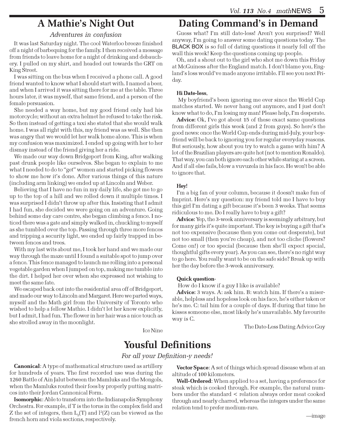## A Mathie's Night Out

### Adventures in confusion

It was last Saturday night. The cool Waterloo breeze finished off a night of barbequing for the family. I then received a message from friends to leave home for a night of drinking and debauchery. I pulled on my shirt, and headed out towards the GRT on King Street.

I was sitting on the bus when I received a phone call. A good friend wanted to know what I should start with. I named a beer, and when I arrived it was sitting there for me at the table. Three hours later, it was myself, that same friend, and a person of the female persuasion.

She needed a way home, but my good friend only had his motorcycle; without an extra helmet he refused to take the risk. So then instead of getting a taxi she stated that she would walk home. I was all right with this, my friend was as well. She then was angry that we would let her walk home alone. This is when my confusion was maximized. I ended up going with her to her dismay instead of the friend giving her a ride.

We made our way down Bridgeport from King, after walking past drunk people like ourselves. She began to explain to me what I needed to do to "get" women and started picking flowers to show me how it's done. After various things of this nature (including arm linking) we ended up at Lincoln and Weber.

Believing that I have no fun in my daily life, she got me to go up to the top of a hill and we rolled down it multiple times. I was surprised I didn't throw up after this. Insisting that I admit I had fun, she decided we were going on an adventure. Going behind some day care centre, she began climbing a fence. I noticed there was a gate and simply walked in, chuckling to myself as she tumbled over the top. Passing through three more fences and tripping a security light, we ended up fairly trapped in between fences and trees.

With my last wits about me, I took her hand and we made our way through the maze until I found a suitable spot to jump over a fence. This fence managed to launch me rolling into a personal vegetable garden when I jumped on top, making me tumble into the dirt. I helped her over when she expressed not wishing to meet the same fate.

We escaped back out into the residential area off of Bridgeport, and made our way to Lincoln and Margaret. Here we parted ways, myself and the Math girl from the University of Toronto who wished to help a fellow Mathie. I didn't let her know explicitly, but I admit, I had fun. The flower in her hair was a nice touch as she strolled away in the moonlight.

Dating Command's in Demand

Guess what? I'm still date-less! Aren't you surprised? Well anyway, I'm going to answer some dating questions today. The BLACK BOX is so full of dating questions it nearly fell off the wall this week! Keep the questions coming up people.

Oh, and a shout out to the girl who shot me down this Friday at McGuiness after the England match. I don't blame you, England's loss would've made anyone irritable. I'll see you next Friday.

#### Hi Date-less,

 My boyfriend's been ignoring me ever since the World Cup matches started. We never hang out anymore, and I just don't know what to do, I'm losing my man! Please help, I'm desperate.

Advice: Ok, I've got about 15 of these exact same questions from different girls this week (and 2 from guys). So here's the good news: once the World Cup ends during mid-July, your boyfriend will be back to ignoring you for regular everyday reasons. But seriously, how about you try to watch a game with him? A lot of the Brazilian players are quite hot (not to mention Ronaldo). That way, you can both ignore each other while staring at a screen. And if all else fails, blow a vuvuzela in his face. He won't be able to ignore that.

#### Hey!

I'm a big fan of your column, because it doesn't make fun of Imprint. Here's my question: my friend told me I have to buy this girl I'm dating a gift because it's been 3 weeks. That seems ridiculous to me. Do I really have to buy a gift?

Advice: Yep, the 3-week anniversary is seemingly arbitrary, but for many girls it's quite important. The key is buying a gift that's not too expensive (because then you come out desperate), but not too small (then you're cheap), and not too cliche (flowers? Come on!) or too special (because then she'll expect special, thoughtful gifts every year). As you can see, there's no right way to go here. You really want to be on the safe side? Break up with her the day before the 3-week anniversary.

### Quick question-

How do I know if a guy I like is available?

Advice: 3 ways. A: ask him. B: watch him. If there's a miserable, helpless and hopeless look on his face, he's either taken or he's me. C: tail him for a couple of days. If during that time he kisses someone else, most likely he's unavailable. My favourite way is C.

The Date-Less Dating Advice Guy

## Yousful Definitions

Ice Nine

For all your Definition-y needs!

Canonical: A type of mathematical structure used as artillery for hundreds of years. The first recorded use was during the 1260 Battle of Ain Jalut between the Mamluks and the Mongols, when the Mamluks routed their foes by properly putting matrices into their Jordan Cannonical Form.

Isomorphic: Able to transform into the Indianapolis Symphony Orchestra. For example, if T is the torus in the complex field and  ${\mathrm Z}$  the set of integers, then  ${\mathrm L}_2({\mathrm T})$  and  ${\mathrm l}^2({\mathrm Z})$  can be viewed as the french horn and viola sections, respectively.

Vector Space: A set of things which spread disease when at an altitude of 100 kilometers.

Well-Ordered: When applied to a set, having a preference for steak which is cooked through. For example, the natural numbers under the standard < relation always order meat cooked through and nearly charred, whereas the integers under the same relation tend to prefer medium-rare.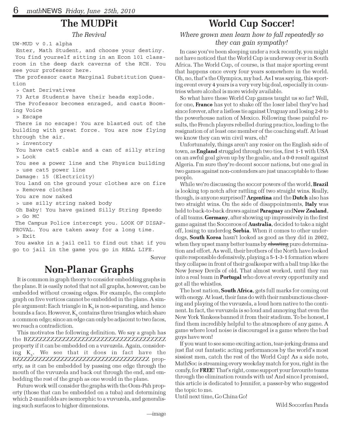### The MUDPit

The Revival

```
UW-MUD v 0.1 alpha
 Enter, Math Student, and choose your destiny.
 You find yourself sitting in an Econ 101 class-
room in the deep dark caverns of the RCH. You
see your professor here.
 The professor casts Marginal Substitution Ques-
tion
  > Cast Derivatives
 73 Arts Students have their heads explode.
 The Professor becomes enraged, and casts Boom-
ing Voice
  > Escape
 There is no escape! You are blasted out of the
building with great force. You are now flying
through the air.
  > inventory
 You have cat5 cable and a can of silly string
  > Look
 You see a power line and the Physics building
  > use cat5 power line
 Damage: 15 (Electricity)
 You land on the ground your clothes are on fire
  > Removes clothes
 You are now naked
  > use silly string naked body
 Oh Baby! You have gained Silly String Speedo
  > Go MC
 The Campus Police intercept you. LOOK OF DISAP-
PROVAL. You are taken away for a long time.
  > Exit
```
 You awake in a jail cell to find out that if you go to jail in the game you go in REAL LIFE.

Server

## Non-Planar Graphs

It is common in graph theory to consider embedding graphs in the plane. It is easily noted that not all graphs, however, can be embedded without crossing edges. For example, the complete graph on five vertices cannot be embedded in the plane. A simple argument: Each triangle in  $K<sub>z</sub>$  is non-separating, and hence bounds a face. However,  $\mathrm{K}_\mathrm{s}$  contains three triangles which share a common edge; since an edge can only be adjacent to two faces, we reach a contradiction.

This motivates the following definition. We say a graph has the BZZZZZZZZZZZZZZZZZZZZZZZZZZZZZZZZZZZZ property if it can be embedded on a vuvuzela. Again, considering  $K<sub>z</sub>$ . We see that it does in fact have the BZZZZZZZZZZZZZZZZZZZZZZZZZZZZZZZZZZZZ property, as it can be embedded by passing one edge through the mouth of the vuvuzela and back out through the end, and embedding the rest of the graph as one would in the plane.

Future work will consider the graphs with the Oom-Pah property (those that can be embedded on a tuba) and determining which 2-manifolds are isomorphic to a vuvuzela, and generalising such surfaces to higher dimensions.

## World Cup Soccer!

### Where grown men learn how to fall repeatedly so they can gain sympathy!

In case you've been sleeping under a rock recently, you might not have noticed that the World Cup is underway over in South Africa. The World Cup, of course, is that major sporting event that happens once every four years somewhere in the world. Oh, no, that's the Olympics, my bad. As I was saying, this sporting event every 4 years is a very very big deal, especially in countries where alcohol is more widely available.

So what have these World Cup games taught us so far? Well, for one, **France** has yet to shake off the loser label they've had since forever, after a listless tie against Uruguay and losing 2-0 to the powerhouse nation of Mexico. Following these painful results, the French players rebelled during practice, leading to the resignation of at least one member of the coaching staff. At least we know they can win civil wars, eh?

Unfortunately, things aren't any rosier on the English side of town, as **England** struggled through two ties, first 1-1 with USA on an awful goal given up by the goalie, and a 0-0 result against Algeria. I'm sure they're decent soccer nations, but one goal in two games against non-contenders are just unacceptable to these people.

While we're discussing the soccer powers of the world, **Brazil** is looking top notch after rattling off two straight wins. Really, though, is anyone surprised? Argentina and the Dutch also has two straight wins. On the side of disappointments, **Italy** was held to back-to-back draws against Paraguay andNew Zealand, of all teams. Germany, after showing up impressively in the first game against the Socceroos of **Australia**, decided to take a night off, losing to underdog Serbia. When it comes to other underdogs, South Korea hasn't looked as good as they did in 2002, when they upset many better teams by cheating pure determination and effort. As well, their brothers of the North have looked quite responsible defensively, playing a 5-1-3-1 formation where they collapse in front of their goalkeeper with a ball trap like the New Jersey Devils of old. That almost worked, until they ran into a real team in **Portugal** who dove at every opportunity and got all the whistles.

The host nation, **South Africa**, gets full marks for coming out with energy. At least, their fans do with their rambunctious cheering and playing of the vuvuzela, a loud horn native to the continent. In fact, the vuvuzela is so loud and annoying that even the New York Yankees banned it from their stadium. To be honest, I find them incredibly helpful to the atmosphere of any game. A game where loud noise is discouraged is a game where the bad guys have won!

If you want to see some exciting action, tear-jerking drama and just flat out fantastic acting performances by the world's most sissiest men, catch the rest of the World Cup! As a side note, MathSoc is streaming every weekday match for you, right in the comfy, for FREE! That's right, come support your favourite teams through the elimination rounds with us! And since I promised, this article is dedicated to Jennifer, a passer-by who suggested the topic to me.

Until next time, Go China Go!

Wild Soccerfan Panda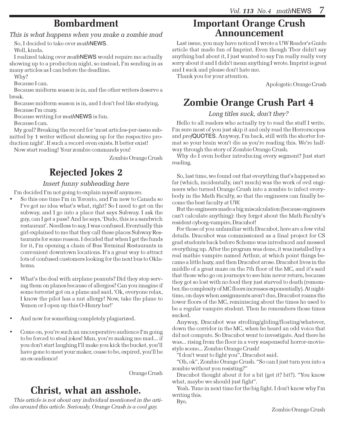## Bombardment

This is what happens when you make a zombie mad

So, I decided to take over mathNEWS. Well, kinda.

I realized taking over mathNEWS would require me actually showing up to a production night, so instead, I'm sending in as many articles as I can before the deadline.

Why?

Because I can.

Because midterm season is in, and the other writers deserve a break.

Because midterm season is in, and I don't feel like studying. Because I'm crazy.

Because writing for mathNEWS is fun.

Because I can.

My goal? Breaking the record for 'most articles-per-issue submitted by 1 writer without showing up for the respective production night'. If such a record even exists. It better exist!

Now start reading! Your zombie commands you!

Zombie Orange Crush

# Rejected Jokes 2

### Insert funny subheading here

I'm decided I'm not going to explain myself anymore.

- So this one time I'm in Toronto, and I'm new to Canada so I've got no idea what's what, right? So I need to get on the subway, and I go into a place that says Subway. I ask the guy, can I get a pass? And he says, 'Dude, this is a sandwich restaurant'. Needless to say, I was confused. Eventually this girl explained to me that they call these places Subway Restaurants for some reason. I decided that when I get the funds for it, I'm opening a chain of Bus Terminal Restaurants in convenient downtown locations. It's a great way to attract lots of confused customers looking for the next bus to Oklahoma.
- What's the deal with airplane peanuts? Did they stop serving them on planes because of allergies? Can you imagine if some terrorist got on a plane and said, 'Ok, everyone relax, I know the pilot has a nut allergy! Now, take the plane to Yemen or I open up this O-Henry bar!'
- And now for something completely plagiarized.
- Come on, you're such an uncooperative audience I'm going to be forced to steal jokes! Man, you're making me mad... if you don't start laughing I'll make you kick the bucket, you'll have gone to meet your maker, cease to be, expired, you'll be an ex-audience!

Orange Crush

## Christ, what an asshole.

This article is not about any individual mentioned in the articles around this article. Seriously, Orange Crush is a cool guy.

### Important Orange Crush Announcement

Last issue, you may have noticed I wrote a UW Reader's Guide article that made fun of Imprint. Even though Tbor didn't say anything bad about it, I just wanted to say I'm really really very sorry about it and I didn't mean anything I wrote. Imprint is great and I suck and please don't hate me.

Thank you for your attention.

Apologetic Orange Crush

# Zombie Orange Crush Part 4

### Long titles suck, don't they?

Hello to all readers who actually try to read the stuff I write. I'm sure most of you just skip it and only read the Horrorscopes and profQUOTES. Anyway, I'm back, still with the shorter format so your brain won't die as you're reading this. We're halfway through the story of Zombie Orange Crush.

Why do I even bother introducing every segment? Just start reading.

So, last time, we found out that everything that's happened so far (which, incidentally, isn't much) was the work of evil engineers who turned Orange Crush into a zombie to infect everybody in the Math Faculty, so that the engineers can finally become the best faculty at UW.

But the engineers made a big miscalculation (because engineers can't calculate anything): they forgot about the Math Faculty's resident cyborg-vampire, Dracubot!

For those of you unfamiliar with Dracubot, here are a few vital details. Dracubot was commissioned as a final project for CS grad students back before Scheme was introduced and messed everything up. After the program was done, it was installed by a real mathie vampire named Arthur, at which point things became a little hazy, and then Dracubot arose. Dracubot lives in the middle of a great maze on the 7th floor of the MC, and it's said that those who go on journeys to see him never return, because they got so lost with no food they just starved to death (remember, the complexity of MC floors increases exponentially). At nighttime, on days when assignments aren't due, Dracubot roams the lower floors of the MC, reminiscing about the times he used to be a regular vampire student. Then he remembers those times sucked.

Anyway, Dracubot was strolling/gliding/floating/whatever, down the corridor in the MC, when he heard an odd voice that did not compute. So Dracubot went to investigate. And there he was... rising from the floor in a very suspenseful horror-moviestyle scene... Zombie Orange Crush!

"I don't want to fight you", Dracubot said.

"Oh, ok", Zombie Orange Crush. "So can I just turn you into a zombie without you resisting?"

Dracubot thought about it for a bit (get it? bit?). "You know what, maybe we should just fight".

Yeah. Tune in next time for the big fight. I don't know why I'm writing this.

Bye.

Zombie Orange Crush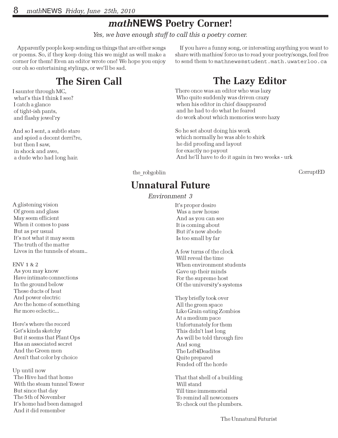# math**NEWS** Poetry Corner!

Yes, we have enough stuff to call this a poetry corner.

Apparently people keep sending us things that are either songs or poems. So, if they keep doing this we might as well make a corner for them! Even an editor wrote one! We hope you enjoy our oh so entertaining stylings, or we'll be sad.

# The Siren Call

I saunter through MC, what's this I think I see? I catch a glance of tight-ish pants, and flashy jewel'ry

And so I sent, a subtle stare and spied a decent derri?re, but then I saw, in shock and awe, a dude who had long hair.

A glistening vision Of green and glass May seem efficient When it comes to pass But as per usual It's not what it may seem The truth of the matter Lives in the tunnels of steam..

#### ENV 1 & 2

 As you may know Have intimate connections In the ground below These ducts of heat And power electric Are the home of something Far more eclectic...

Here's where the record Get's kinda sketchy But it seems that Plant Ops Has an associated secret And the Green men Aren't that color by choice

Up until now The Hive had that home With the steam tunnel Tower But since that day The 5th of November It's home had been damaged And it did remember

If you have a funny song, or interesting anything you want to share with mathies/ force us to read your poetry/songs, feel free to send them to mathnews@student.math.uwaterloo.ca

# The Lazy Editor

There once was an editor who was lazy Who quite suddenly was driven crazy when his editor in chief disappeared and he had to do what he feared do work about which memories were hazy

So he set about doing his work which normally he was able to shirk he did proofing and layout for exactly no payout And he'll have to do it again in two weeks - urk

the robgoblin

**CorruptED** 

## Unnatural Future

Environment 3

It's proper desire Was a new house And as you can see It is coming about But it's new abode Is too small by far

A few turns of the clock Will reveal the time When environment students Gave up their minds For the supreme host Of the university's systems

They briefly took over All the green space Like Grain eating Zombies At a medium pace Unfortunately for them This didn't last long As will be told through fire And song The Left4Deadites Quite prepared Fended off the horde

That that shell of a building Will stand Till time immemorial To remind all newcomers To check out the plumbers.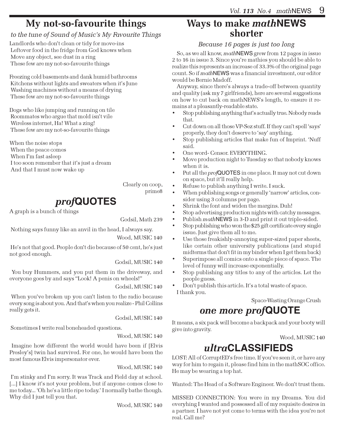# My not-so-favourite things

### to the tune of Sound of Music's My Favourite Things

Landlords who don't clean or tidy for move-ins Leftover food in the fridge from God knows when Move any object, see dust in a ring These few are my not-so-favourite things

Freezing cold basements and dank humid bathrooms Kitchens without lights and sweaters when it's June Washing machines without a means of drying These few are my not-so-favourite things

Dogs who like jumping and running on tile Roommates who argue that mold isn't vile Wireless internet, Ha! What a zing! These few are my not-so-favourite things

When the noise stops When the peace comes When I'm fast asleep I too soon remember that it's just a dream And that I must now wake up

> Clearly on coop, prime8

# prof**QUOTES**

A graph is a bunch of things

Godsil, Math 239

Nothing says funny like an anvil in the head, I always say.

Wood, MUSIC 140

 He's not that good. People don't die because of 50 cent, he's just not good enough.

Godsil, MUSIC 140

 You buy Hummers, and you put them in the driveway, and everyone goes by and says "Look! A penis on wheels!"

Godsil, MUSIC 140

 When you've broken up you can't listen to the radio because every song is about you. And that's when you realize - Phil Collins really gets it.

Godsil, MUSIC 140

Sometimes I write real boneheaded questions.

### Wood, MUSIC 140

 Imagine how different the world would have been if [Elvis Presley's] twin had survived. For one, he would have been the most famous Elvis impersonator ever.

Wood, MUSIC 140

 I'm stinky and I'm sorry. It was Track and Field day at school. [...] I know it's not your problem, but if anyone comes close to me today... 'Oh he's a little ripe today.' I normally bathe though. Why did I just tell you that.

Wood, MUSIC 140

### Ways to make math**NEWS** shorter

### Because 16 pages is just too long

So, as we all know, mathNEWS grew from 12 pages in issue 2 to 16 in issue 3. Since you're mathies you should be able to realize this represents an increase of 33.3% of the original page count. So if mathNEWS was a financial investment, our editor would be Bernie Madoff.

Anyway, since there's always a trade-off between quantity and quality (ask my 7 girlfriends), here are several suggestions on how to cut back on mathNEWS's length, to ensure it remains at a pleasantly-readable state.

- Stop publishing anything that's actually true. Nobody reads that.
- Cut down on all those VP-Sez stuff. If they can't spell 'says' properly, they don't deserve to 'say' anything.
- Stop publishing articles that make fun of Imprint. 'Nuff said.
- One word- Censor. EVERYTHING.
- Move production night to Tuesday so that nobody knows when it is.
- Put all the *profQUOTES* in one place. It may not cut down on space, but it'll really help.
- Refuse to publish anything I write. I suck.
- When publishing songs or generally 'narrow' articles, consider using 3 columns per page.
- Shrink the font and widen the margins. Duh!
- Stop advertising production nights with catchy messages.
- Publish mathNEWS in 3-D and print it out triple-sided.
- Stop publishing who won the \$25 gift certificate every single issue. Just give them all to me.
- Use those freakishly-annoying super-sized paper sheets, like certain other university publications (and stupid midterms that don't fit in my binder when I get them back)
- Superimpose all comics onto a single piece of space. The level of funny will increase exponentially.
- Stop publishing any titles to any of the articles. Let the people guess.

• Don't publish this article. It's a total waste of space. I thank you.

Space-Wasting Orange Crush

## one more prof**QUOTE**

It means, a six pack will become a backpack and your booty will give into gravity.

Wood, MUSIC 140

## ultra**CLASSIFIEDS**

LOST: All of CorruptED's free time. If you've seen it, or have any way for him to regain it, please find him in the mathSOC office. He may be wearing a top hat.

Wanted: The Head of a Software Engineer. We don't trust them.

MISSED CONNECTION: You were in my Dreams. You did everyhing I wanted and possessed all of my requisite desires in a partner. I have not yet come to terms with the idea you're not real. Call me?